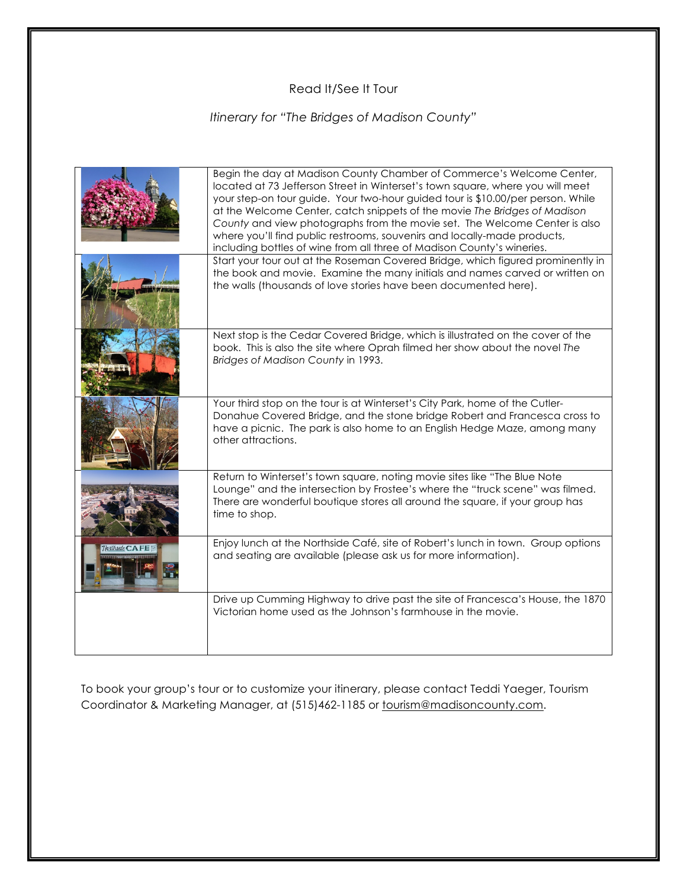## Read It/See It Tour

## *Itinerary for "The Bridges of Madison County"*

|                | Begin the day at Madison County Chamber of Commerce's Welcome Center,<br>located at 73 Jefferson Street in Winterset's town square, where you will meet<br>your step-on tour guide. Your two-hour guided tour is \$10.00/per person. While<br>at the Welcome Center, catch snippets of the movie The Bridges of Madison<br>County and view photographs from the movie set. The Welcome Center is also<br>where you'll find public restrooms, souvenirs and locally-made products,<br>including bottles of wine from all three of Madison County's wineries. |
|----------------|-------------------------------------------------------------------------------------------------------------------------------------------------------------------------------------------------------------------------------------------------------------------------------------------------------------------------------------------------------------------------------------------------------------------------------------------------------------------------------------------------------------------------------------------------------------|
|                | Start your tour out at the Roseman Covered Bridge, which figured prominently in<br>the book and movie. Examine the many initials and names carved or written on<br>the walls (thousands of love stories have been documented here).                                                                                                                                                                                                                                                                                                                         |
|                | Next stop is the Cedar Covered Bridge, which is illustrated on the cover of the<br>book. This is also the site where Oprah filmed her show about the novel The<br>Bridges of Madison County in 1993.                                                                                                                                                                                                                                                                                                                                                        |
|                | Your third stop on the tour is at Winterset's City Park, home of the Cutler-<br>Donahue Covered Bridge, and the stone bridge Robert and Francesca cross to<br>have a picnic. The park is also home to an English Hedge Maze, among many<br>other attractions.                                                                                                                                                                                                                                                                                               |
|                | Return to Winterset's town square, noting movie sites like "The Blue Note<br>Lounge" and the intersection by Frostee's where the "truck scene" was filmed.<br>There are wonderful boutique stores all around the square, if your group has<br>time to shop.                                                                                                                                                                                                                                                                                                 |
| noithside CAFE | Enjoy lunch at the Northside Café, site of Robert's lunch in town. Group options<br>and seating are available (please ask us for more information).                                                                                                                                                                                                                                                                                                                                                                                                         |
|                | Drive up Cumming Highway to drive past the site of Francesca's House, the 1870<br>Victorian home used as the Johnson's farmhouse in the movie.                                                                                                                                                                                                                                                                                                                                                                                                              |

To book your group's tour or to customize your itinerary, please contact Teddi Yaeger, Tourism Coordinator & Marketing Manager, at (515)462-1185 or tourism@madisoncounty.com.